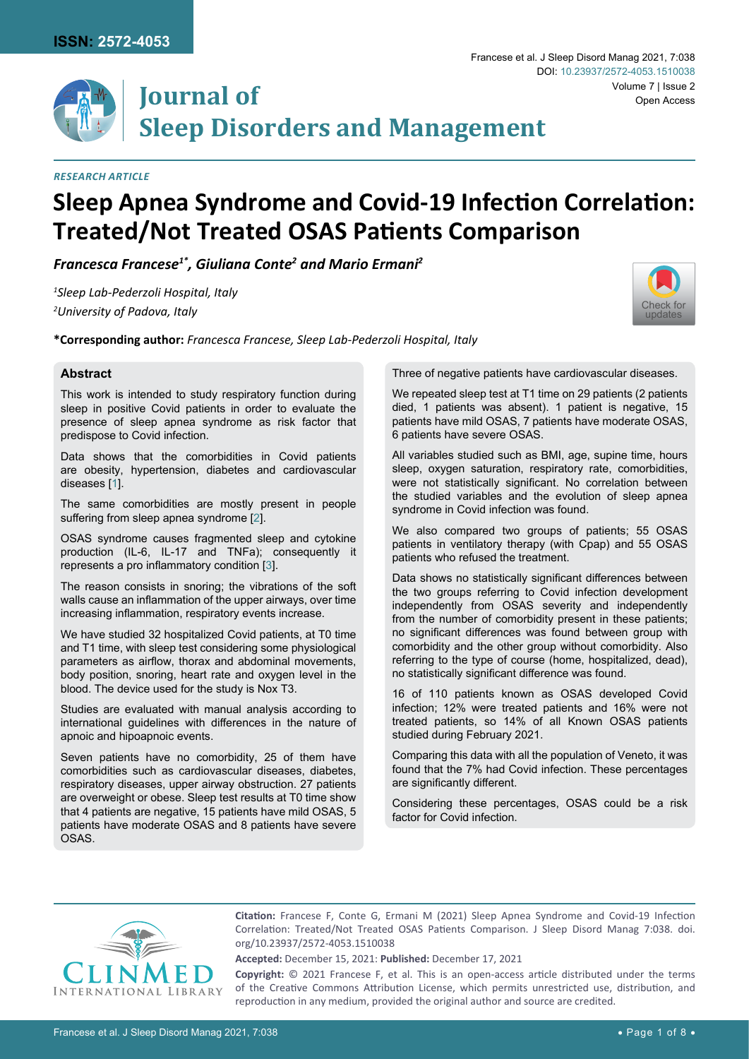

## *Research Article*

# **Sleep Apnea Syndrome and Covid-19 Infection Correlation: Treated/Not Treated OSAS Patients Comparison**

*Francesca Francese1\*, Giuliana Conte2 and Mario Ermani2*

*1 Sleep Lab-Pederzoli Hospital, Italy 2 University of Padova, Italy*

**\*Corresponding author:** *Francesca Francese, Sleep Lab-Pederzoli Hospital, Italy*

#### **Abstract**

This work is intended to study respiratory function during sleep in positive Covid patients in order to evaluate the presence of sleep apnea syndrome as risk factor that predispose to Covid infection.

Data shows that the comorbidities in Covid patients are obesity, hypertension, diabetes and cardiovascular diseases [[1\]](#page-7-0).

The same comorbidities are mostly present in people suffering from sleep apnea syndrome [[2\]](#page-7-1).

OSAS syndrome causes fragmented sleep and cytokine production (IL-6, IL-17 and TNFa); consequently it represents a pro inflammatory condition [[3](#page-7-2)].

The reason consists in snoring; the vibrations of the soft walls cause an inflammation of the upper airways, over time increasing inflammation, respiratory events increase.

We have studied 32 hospitalized Covid patients, at T0 time and T1 time, with sleep test considering some physiological parameters as airflow, thorax and abdominal movements, body position, snoring, heart rate and oxygen level in the blood. The device used for the study is Nox T3.

Studies are evaluated with manual analysis according to international guidelines with differences in the nature of apnoic and hipoapnoic events.

Seven patients have no comorbidity, 25 of them have comorbidities such as cardiovascular diseases, diabetes, respiratory diseases, upper airway obstruction. 27 patients are overweight or obese. Sleep test results at T0 time show that 4 patients are negative, 15 patients have mild OSAS, 5 patients have moderate OSAS and 8 patients have severe OSAS.

Three of negative patients have cardiovascular diseases.

We repeated sleep test at T1 time on 29 patients (2 patients died, 1 patients was absent). 1 patient is negative, 15 patients have mild OSAS, 7 patients have moderate OSAS, 6 patients have severe OSAS.

All variables studied such as BMI, age, supine time, hours sleep, oxygen saturation, respiratory rate, comorbidities, were not statistically significant. No correlation between the studied variables and the evolution of sleep apnea syndrome in Covid infection was found.

We also compared two groups of patients; 55 OSAS patients in ventilatory therapy (with Cpap) and 55 OSAS patients who refused the treatment.

Data shows no statistically significant differences between the two groups referring to Covid infection development independently from OSAS severity and independently from the number of comorbidity present in these patients; no significant differences was found between group with comorbidity and the other group without comorbidity. Also referring to the type of course (home, hospitalized, dead), no statistically significant difference was found.

16 of 110 patients known as OSAS developed Covid infection; 12% were treated patients and 16% were not treated patients, so 14% of all Known OSAS patients studied during February 2021.

Comparing this data with all the population of Veneto, it was found that the 7% had Covid infection. These percentages are significantly different.

Considering these percentages, OSAS could be a risk factor for Covid infection.



**Citation:** Francese F, Conte G, Ermani M (2021) Sleep Apnea Syndrome and Covid-19 Infection Correlation: Treated/Not Treated OSAS Patients Comparison. J Sleep Disord Manag 7:038. [doi.](https://doi.org/10.23937/2572-4053.1510038) [org/10.23937/2572-4053.1510038](https://doi.org/10.23937/2572-4053.1510038)

**Accepted:** December 15, 2021: **Published:** December 17, 2021

**Copyright:** © 2021 Francese F, et al. This is an open-access article distributed under the terms of the Creative Commons Attribution License, which permits unrestricted use, distribution, and reproduction in any medium, provided the original author and source are credited.

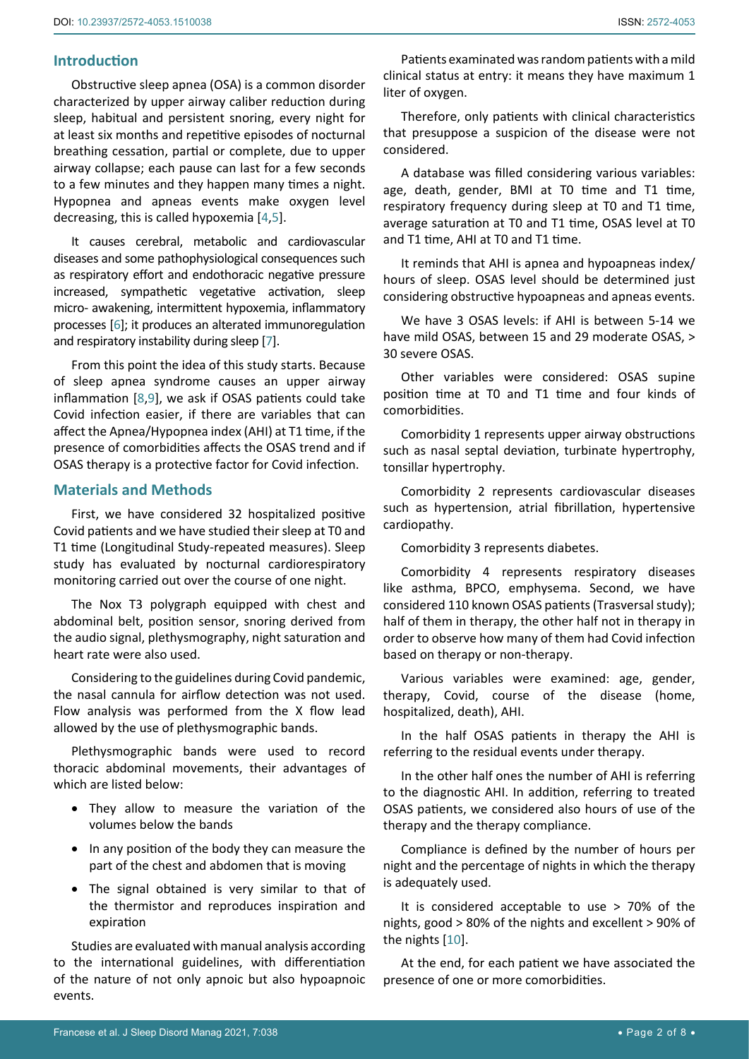# **Introduction**

Obstructive sleep apnea (OSA) is a common disorder characterized by upper airway caliber reduction during sleep, habitual and persistent snoring, every night for at least six months and repetitive episodes of nocturnal breathing cessation, partial or complete, due to upper airway collapse; each pause can last for a few seconds to a few minutes and they happen many times a night. Hypopnea and apneas events make oxygen level decreasing, this is called hypoxemia [[4](#page-7-4),[5\]](#page-7-5).

It causes cerebral, metabolic and cardiovascular diseases and some pathophysiological consequences such as respiratory effort and endothoracic negative pressure increased, sympathetic vegetative activation, sleep micro- awakening, intermittent hypoxemia, inflammatory processes [[6](#page-7-6)]; it produces an alterated immunoregulation and respiratory instability during sleep [\[7\]](#page-7-7).

From this point the idea of this study starts. Because of sleep apnea syndrome causes an upper airway inflammation [\[8](#page-7-8),[9](#page-7-9)], we ask if OSAS patients could take Covid infection easier, if there are variables that can affect the Apnea/Hypopnea index (AHI) at T1 time, if the presence of comorbidities affects the OSAS trend and if OSAS therapy is a protective factor for Covid infection.

# **Materials and Methods**

First, we have considered 32 hospitalized positive Covid patients and we have studied their sleep at T0 and T1 time (Longitudinal Study-repeated measures). Sleep study has evaluated by nocturnal cardiorespiratory monitoring carried out over the course of one night.

The Nox T3 polygraph equipped with chest and abdominal belt, position sensor, snoring derived from the audio signal, plethysmography, night saturation and heart rate were also used.

Considering to the guidelines during Covid pandemic, the nasal cannula for airflow detection was not used. Flow analysis was performed from the X flow lead allowed by the use of plethysmographic bands.

Plethysmographic bands were used to record thoracic abdominal movements, their advantages of which are listed below:

- They allow to measure the variation of the volumes below the bands
- In any position of the body they can measure the part of the chest and abdomen that is moving
- The signal obtained is very similar to that of the thermistor and reproduces inspiration and expiration

Studies are evaluated with manual analysis according to the international guidelines, with differentiation of the nature of not only apnoic but also hypoapnoic events.

Patients examinated was random patients with a mild clinical status at entry: it means they have maximum 1 liter of oxygen.

Therefore, only patients with clinical characteristics that presuppose a suspicion of the disease were not considered.

A database was filled considering various variables: age, death, gender, BMI at T0 time and T1 time, respiratory frequency during sleep at T0 and T1 time, average saturation at T0 and T1 time, OSAS level at T0 and T1 time, AHI at T0 and T1 time.

It reminds that AHI is apnea and hypoapneas index/ hours of sleep. OSAS level should be determined just considering obstructive hypoapneas and apneas events.

We have 3 OSAS levels: if AHI is between 5-14 we have mild OSAS, between 15 and 29 moderate OSAS, > 30 severe OSAS.

Other variables were considered: OSAS supine position time at T0 and T1 time and four kinds of comorbidities.

Comorbidity 1 represents upper airway obstructions such as nasal septal deviation, turbinate hypertrophy, tonsillar hypertrophy.

Comorbidity 2 represents cardiovascular diseases such as hypertension, atrial fibrillation, hypertensive cardiopathy.

Comorbidity 3 represents diabetes.

Comorbidity 4 represents respiratory diseases like asthma, BPCO, emphysema. Second, we have considered 110 known OSAS patients (Trasversal study); half of them in therapy, the other half not in therapy in order to observe how many of them had Covid infection based on therapy or non-therapy.

Various variables were examined: age, gender, therapy, Covid, course of the disease (home, hospitalized, death), AHI.

In the half OSAS patients in therapy the AHI is referring to the residual events under therapy.

In the other half ones the number of AHI is referring to the diagnostic AHI. In addition, referring to treated OSAS patients, we considered also hours of use of the therapy and the therapy compliance.

Compliance is defined by the number of hours per night and the percentage of nights in which the therapy is adequately used.

It is considered acceptable to use > 70% of the nights, good > 80% of the nights and excellent > 90% of the nights [[10](#page-7-3)].

At the end, for each patient we have associated the presence of one or more comorbidities.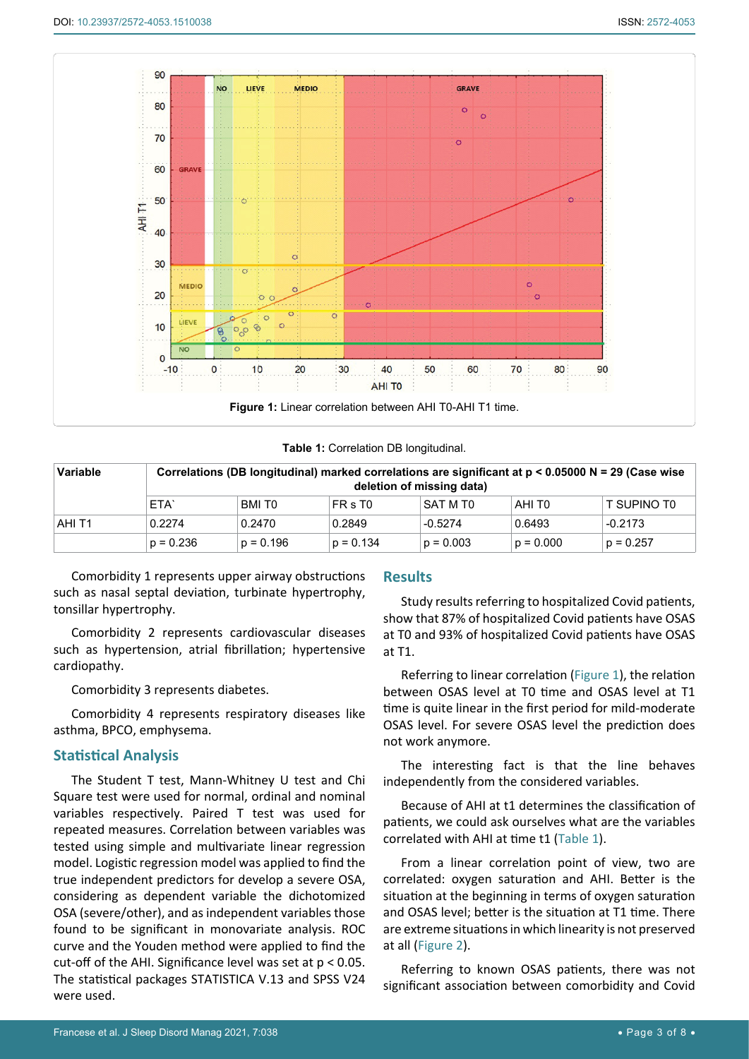<span id="page-2-0"></span>

<span id="page-2-1"></span>**Table 1:** Correlation DB longitudinal.

| <b>Variable</b> |             | Correlations (DB longitudinal) marked correlations are significant at $p < 0.05000$ N = 29 (Case wise | deletion of missing data) |             |                    |             |
|-----------------|-------------|-------------------------------------------------------------------------------------------------------|---------------------------|-------------|--------------------|-------------|
|                 | ⊩ETA`       | BMI TO                                                                                                | FR s T <sub>0</sub>       | SAT M T0    | AHI T <sub>0</sub> | T SUPINO TO |
| AHI T1          | 0.2274      | 0.2470                                                                                                | 0.2849                    | $-0.5274$   | 0.6493             | $-0.2173$   |
|                 | $p = 0.236$ | $p = 0.196$                                                                                           | $p = 0.134$               | $p = 0.003$ | $p = 0.000$        | $p = 0.257$ |

Comorbidity 1 represents upper airway obstructions such as nasal septal deviation, turbinate hypertrophy, tonsillar hypertrophy.

Comorbidity 2 represents cardiovascular diseases such as hypertension, atrial fibrillation; hypertensive cardiopathy.

Comorbidity 3 represents diabetes.

Comorbidity 4 represents respiratory diseases like asthma, BPCO, emphysema.

# **Statistical Analysis**

The Student T test, Mann-Whitney U test and Chi Square test were used for normal, ordinal and nominal variables respectively. Paired T test was used for repeated measures. Correlation between variables was tested using simple and multivariate linear regression model. Logistic regression model was applied to find the true independent predictors for develop a severe OSA, considering as dependent variable the dichotomized OSA (severe/other), and as independent variables those found to be significant in monovariate analysis. ROC curve and the Youden method were applied to find the cut-off of the AHI. Significance level was set at  $p < 0.05$ . The statistical packages STATISTICA V.13 and SPSS V24 were used.

#### **Results**

Study results referring to hospitalized Covid patients, show that 87% of hospitalized Covid patients have OSAS at T0 and 93% of hospitalized Covid patients have OSAS at T1.

Referring to linear correlation ([Figure 1](#page-2-0)), the relation between OSAS level at T0 time and OSAS level at T1 time is quite linear in the first period for mild-moderate OSAS level. For severe OSAS level the prediction does not work anymore.

The interesting fact is that the line behaves independently from the considered variables.

Because of AHI at t1 determines the classification of patients, we could ask ourselves what are the variables correlated with AHI at time t1 ([Table 1](#page-2-1)).

From a linear correlation point of view, two are correlated: oxygen saturation and AHI. Better is the situation at the beginning in terms of oxygen saturation and OSAS level; better is the situation at T1 time. There are extreme situations in which linearity is not preserved at all ([Figure 2](#page-3-0)).

Referring to known OSAS patients, there was not significant association between comorbidity and Covid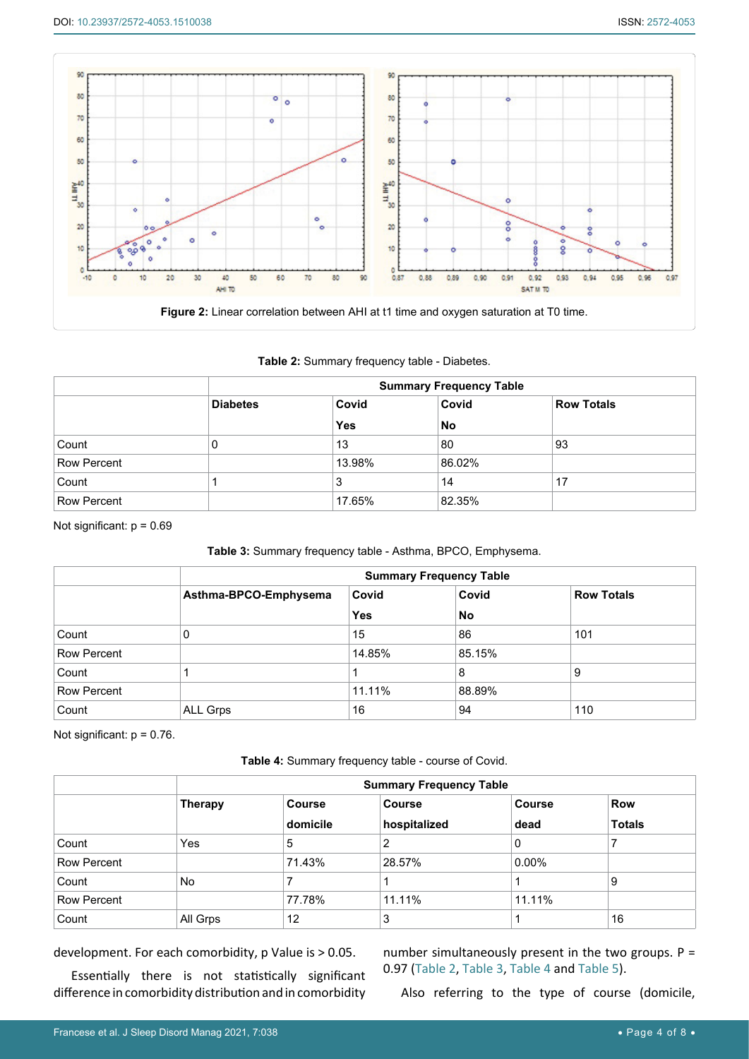<span id="page-3-0"></span>

<span id="page-3-1"></span>**Table 2:** Summary frequency table - Diabetes.

|                    | <b>Summary Frequency Table</b> |            |        |                   |  |
|--------------------|--------------------------------|------------|--------|-------------------|--|
|                    | <b>Diabetes</b>                | Covid      | Covid  | <b>Row Totals</b> |  |
|                    |                                | <b>Yes</b> | No     |                   |  |
| Count              | 0                              | 13         | 80     | 93                |  |
| <b>Row Percent</b> |                                | 13.98%     | 86.02% |                   |  |
| Count              |                                | Ő.         | 14     | 17                |  |
| <b>Row Percent</b> |                                | 17.65%     | 82.35% |                   |  |

Not significant:  $p = 0.69$ 

## <span id="page-3-2"></span>**Table 3:** Summary frequency table - Asthma, BPCO, Emphysema.

|                    |                       | <b>Summary Frequency Table</b> |        |                   |
|--------------------|-----------------------|--------------------------------|--------|-------------------|
|                    | Asthma-BPCO-Emphysema | Covid                          | Covid  | <b>Row Totals</b> |
|                    |                       | <b>Yes</b>                     | No     |                   |
| Count              | 0                     | 15                             | 86     | 101               |
| <b>Row Percent</b> |                       | 14.85%                         | 85.15% |                   |
| Count              |                       |                                | 8      | 9                 |
| <b>Row Percent</b> |                       | 11.11%                         | 88.89% |                   |
| Count              | ALL Grps              | 16                             | 94     | 110               |

Not significant: p = 0.76.

<span id="page-3-3"></span>**Table 4:** Summary frequency table - course of Covid.

|                    |                |               | <b>Summary Frequency Table</b> |               |               |
|--------------------|----------------|---------------|--------------------------------|---------------|---------------|
|                    | <b>Therapy</b> | <b>Course</b> | <b>Course</b>                  | <b>Course</b> | <b>Row</b>    |
|                    |                | domicile      | hospitalized                   | dead          | <b>Totals</b> |
| Count              | Yes            | 5             | 2                              | 0             |               |
| <b>Row Percent</b> |                | 71.43%        | 28.57%                         | $0.00\%$      |               |
| Count              | No.            |               |                                |               | 9             |
| <b>Row Percent</b> |                | 77.78%        | 11.11%                         | 11.11%        |               |
| Count              | All Grps       | 12            | 3                              |               | 16            |

development. For each comorbidity, p Value is > 0.05.

Essentially there is not statistically significant difference in comorbidity distribution and in comorbidity

number simultaneously present in the two groups. P = 0.97 [\(Table 2](#page-3-1), [Table 3](#page-3-2), [Table 4](#page-3-3) and [Table 5](#page-4-0)).

Also referring to the type of course (domicile,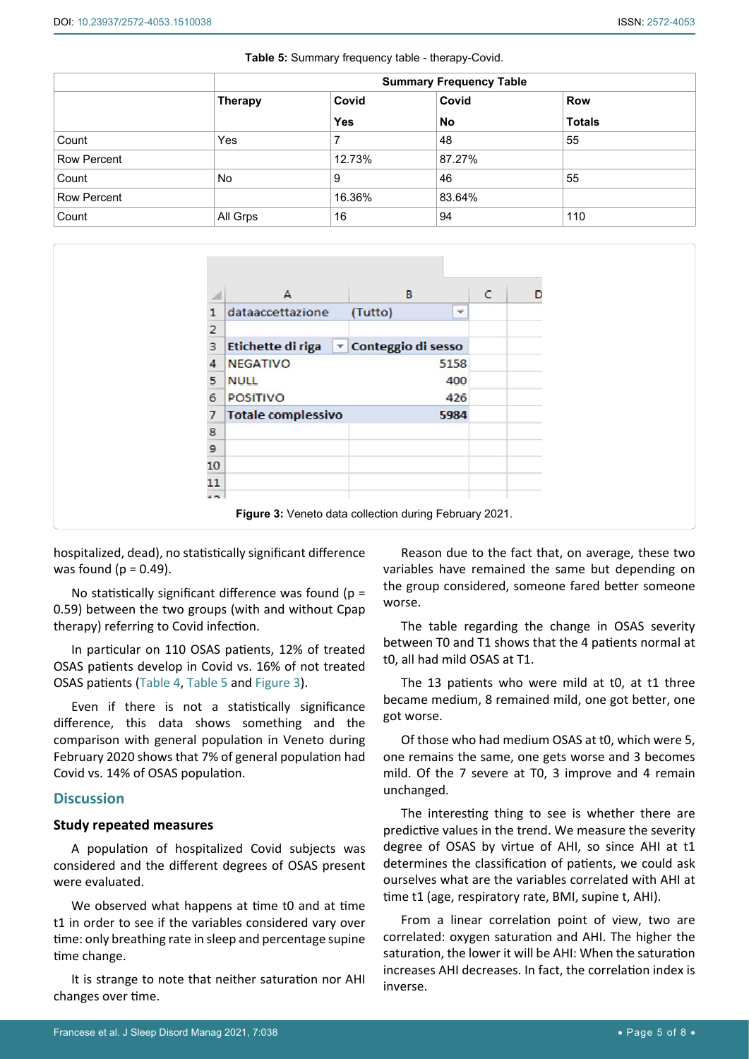<span id="page-4-1"></span>Ĩ

|             |                |            | <b>Summary Frequency Table</b> |               |
|-------------|----------------|------------|--------------------------------|---------------|
|             | <b>Therapy</b> | Covid      | Covid                          | <b>Row</b>    |
|             |                | <b>Yes</b> | <b>No</b>                      | <b>Totals</b> |
| Count       | Yes            |            | 48                             | 55            |
| Row Percent |                | 12.73%     | 87.27%                         |               |
| Count       | No             | 9          | 46                             | 55            |
| Row Percent |                | 16.36%     | 83.64%                         |               |
| Count       | All Grps       | 16         | 94                             | 110           |

<span id="page-4-0"></span>

| Table 5: Summary frequency table - therapy-Covid. |
|---------------------------------------------------|
|---------------------------------------------------|

|                | A                                          | B                  |     | c | D |
|----------------|--------------------------------------------|--------------------|-----|---|---|
|                | dataaccettazione                           | (Tutto)            | ٠   |   |   |
| 2              |                                            |                    |     |   |   |
| 3              | <b>Etichette di riga</b><br>$ \mathbf{v} $ | Conteggio di sesso |     |   |   |
| 4              | <b>NEGATIVO</b>                            | 5158               |     |   |   |
| 5              | <b>NULL</b>                                |                    | 400 |   |   |
| 6              | <b>POSITIVO</b>                            |                    | 426 |   |   |
|                | <b>Totale complessivo</b>                  | 5984               |     |   |   |
| 8              |                                            |                    |     |   |   |
| $\mathbf{9}$   |                                            |                    |     |   |   |
| 10             |                                            |                    |     |   |   |
| 11             |                                            |                    |     |   |   |
| $\overline{a}$ |                                            |                    |     |   |   |

hospitalized, dead), no statistically significant difference was found ( $p = 0.49$ ).

No statistically significant difference was found ( $p =$ 0.59) between the two groups (with and without Cpap therapy) referring to Covid infection.

In particular on 110 OSAS patients, 12% of treated OSAS patients develop in Covid vs. 16% of not treated OSAS patients ([Table 4](#page-3-3), [Table 5](#page-4-0) and [Figure 3\)](#page-4-1).

Even if there is not a statistically significance difference, this data shows something and the comparison with general population in Veneto during February 2020 shows that 7% of general population had Covid vs. 14% of OSAS population.

## **Discussion**

#### **Study repeated measures**

A population of hospitalized Covid subjects was considered and the different degrees of OSAS present were evaluated.

We observed what happens at time t0 and at time t1 in order to see if the variables considered vary over time: only breathing rate in sleep and percentage supine time change.

It is strange to note that neither saturation nor AHI changes over time.

Reason due to the fact that, on average, these two variables have remained the same but depending on the group considered, someone fared better someone worse.

The table regarding the change in OSAS severity between T0 and T1 shows that the 4 patients normal at t0, all had mild OSAS at T1.

The 13 patients who were mild at t0, at t1 three became medium, 8 remained mild, one got better, one got worse.

Of those who had medium OSAS at t0, which were 5, one remains the same, one gets worse and 3 becomes mild. Of the 7 severe at T0, 3 improve and 4 remain unchanged.

The interesting thing to see is whether there are predictive values in the trend. We measure the severity degree of OSAS by virtue of AHI, so since AHI at t1 determines the classification of patients, we could ask ourselves what are the variables correlated with AHI at time t1 (age, respiratory rate, BMI, supine t, AHI).

From a linear correlation point of view, two are correlated: oxygen saturation and AHI. The higher the saturation, the lower it will be AHI: When the saturation increases AHI decreases. In fact, the correlation index is inverse.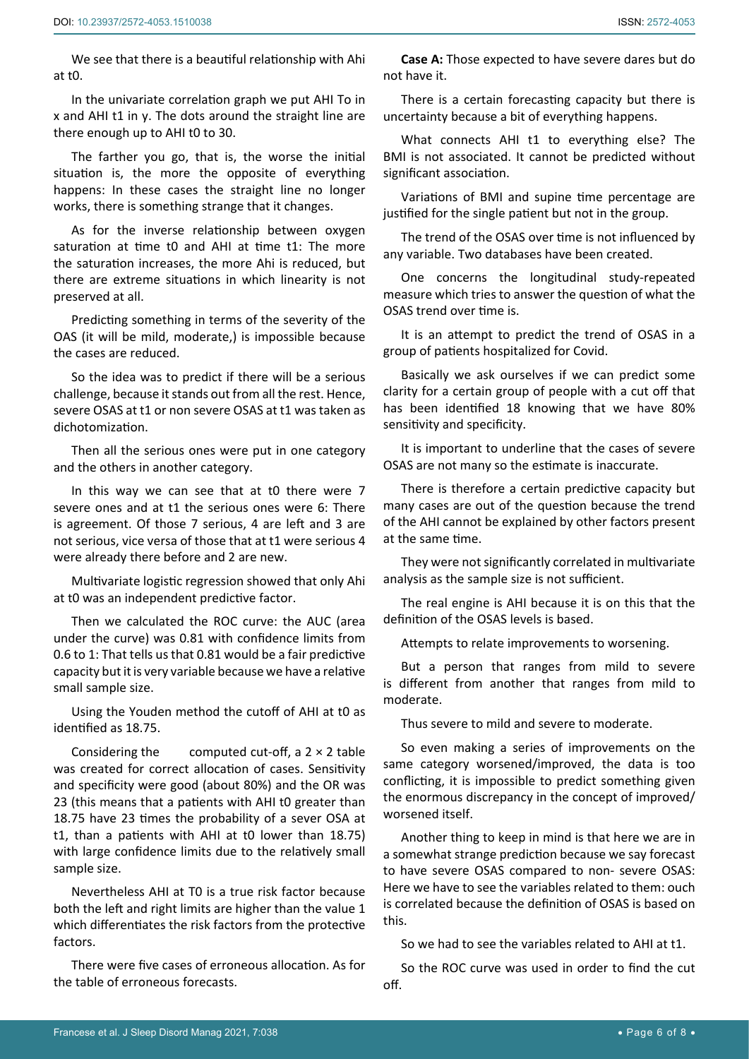We see that there is a beautiful relationship with Ahi at t0.

In the univariate correlation graph we put AHI To in x and AHI t1 in y. The dots around the straight line are there enough up to AHI t0 to 30.

The farther you go, that is, the worse the initial situation is, the more the opposite of everything happens: In these cases the straight line no longer works, there is something strange that it changes.

As for the inverse relationship between oxygen saturation at time t0 and AHI at time t1: The more the saturation increases, the more Ahi is reduced, but there are extreme situations in which linearity is not preserved at all.

Predicting something in terms of the severity of the OAS (it will be mild, moderate,) is impossible because the cases are reduced.

So the idea was to predict if there will be a serious challenge, because it stands out from all the rest. Hence, severe OSAS at t1 or non severe OSAS at t1 was taken as dichotomization.

Then all the serious ones were put in one category and the others in another category.

In this way we can see that at t0 there were 7 severe ones and at t1 the serious ones were 6: There is agreement. Of those 7 serious, 4 are left and 3 are not serious, vice versa of those that at t1 were serious 4 were already there before and 2 are new.

Multivariate logistic regression showed that only Ahi at t0 was an independent predictive factor.

Then we calculated the ROC curve: the AUC (area under the curve) was 0.81 with confidence limits from 0.6 to 1: That tells us that 0.81 would be a fair predictive capacity but it is very variable because we have a relative small sample size.

Using the Youden method the cutoff of AHI at t0 as identified as 18.75.

Considering the computed cut-off, a  $2 \times 2$  table was created for correct allocation of cases. Sensitivity and specificity were good (about 80%) and the OR was 23 (this means that a patients with AHI t0 greater than 18.75 have 23 times the probability of a sever OSA at t1, than a patients with AHI at t0 lower than 18.75) with large confidence limits due to the relatively small sample size.

Nevertheless AHI at T0 is a true risk factor because both the left and right limits are higher than the value 1 which differentiates the risk factors from the protective factors.

There were five cases of erroneous allocation. As for the table of erroneous forecasts.

**Case A:** Those expected to have severe dares but do not have it.

There is a certain forecasting capacity but there is uncertainty because a bit of everything happens.

What connects AHI t1 to everything else? The BMI is not associated. It cannot be predicted without significant association.

Variations of BMI and supine time percentage are justified for the single patient but not in the group.

The trend of the OSAS over time is not influenced by any variable. Two databases have been created.

One concerns the longitudinal study-repeated measure which tries to answer the question of what the OSAS trend over time is.

It is an attempt to predict the trend of OSAS in a group of patients hospitalized for Covid.

Basically we ask ourselves if we can predict some clarity for a certain group of people with a cut off that has been identified 18 knowing that we have 80% sensitivity and specificity.

It is important to underline that the cases of severe OSAS are not many so the estimate is inaccurate.

There is therefore a certain predictive capacity but many cases are out of the question because the trend of the AHI cannot be explained by other factors present at the same time.

They were not significantly correlated in multivariate analysis as the sample size is not sufficient.

The real engine is AHI because it is on this that the definition of the OSAS levels is based.

Attempts to relate improvements to worsening.

But a person that ranges from mild to severe is different from another that ranges from mild to moderate.

Thus severe to mild and severe to moderate.

So even making a series of improvements on the same category worsened/improved, the data is too conflicting, it is impossible to predict something given the enormous discrepancy in the concept of improved/ worsened itself.

Another thing to keep in mind is that here we are in a somewhat strange prediction because we say forecast to have severe OSAS compared to non- severe OSAS: Here we have to see the variables related to them: ouch is correlated because the definition of OSAS is based on this.

So we had to see the variables related to AHI at t1.

So the ROC curve was used in order to find the cut off.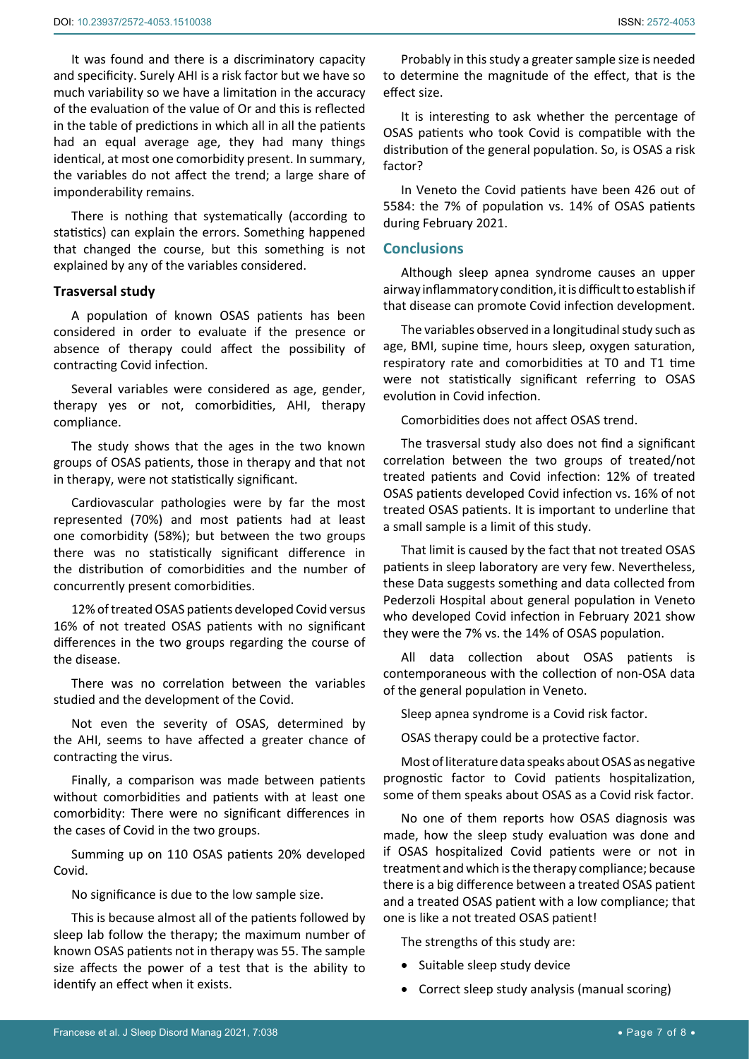It was found and there is a discriminatory capacity and specificity. Surely AHI is a risk factor but we have so much variability so we have a limitation in the accuracy of the evaluation of the value of Or and this is reflected in the table of predictions in which all in all the patients had an equal average age, they had many things identical, at most one comorbidity present. In summary, the variables do not affect the trend; a large share of imponderability remains.

There is nothing that systematically (according to statistics) can explain the errors. Something happened that changed the course, but this something is not explained by any of the variables considered.

#### **Trasversal study**

A population of known OSAS patients has been considered in order to evaluate if the presence or absence of therapy could affect the possibility of contracting Covid infection.

Several variables were considered as age, gender, therapy yes or not, comorbidities, AHI, therapy compliance.

The study shows that the ages in the two known groups of OSAS patients, those in therapy and that not in therapy, were not statistically significant.

Cardiovascular pathologies were by far the most represented (70%) and most patients had at least one comorbidity (58%); but between the two groups there was no statistically significant difference in the distribution of comorbidities and the number of concurrently present comorbidities.

12% of treated OSAS patients developed Covid versus 16% of not treated OSAS patients with no significant differences in the two groups regarding the course of the disease.

There was no correlation between the variables studied and the development of the Covid.

Not even the severity of OSAS, determined by the AHI, seems to have affected a greater chance of contracting the virus.

Finally, a comparison was made between patients without comorbidities and patients with at least one comorbidity: There were no significant differences in the cases of Covid in the two groups.

Summing up on 110 OSAS patients 20% developed Covid.

No significance is due to the low sample size.

This is because almost all of the patients followed by sleep lab follow the therapy; the maximum number of known OSAS patients not in therapy was 55. The sample size affects the power of a test that is the ability to identify an effect when it exists.

Probably in this study a greater sample size is needed to determine the magnitude of the effect, that is the effect size.

It is interesting to ask whether the percentage of OSAS patients who took Covid is compatible with the distribution of the general population. So, is OSAS a risk factor?

In Veneto the Covid patients have been 426 out of 5584: the 7% of population vs. 14% of OSAS patients during February 2021.

#### **Conclusions**

Although sleep apnea syndrome causes an upper airway inflammatory condition, it is difficult to establish if that disease can promote Covid infection development.

The variables observed in a longitudinal study such as age, BMI, supine time, hours sleep, oxygen saturation, respiratory rate and comorbidities at T0 and T1 time were not statistically significant referring to OSAS evolution in Covid infection.

Comorbidities does not affect OSAS trend.

The trasversal study also does not find a significant correlation between the two groups of treated/not treated patients and Covid infection: 12% of treated OSAS patients developed Covid infection vs. 16% of not treated OSAS patients. It is important to underline that a small sample is a limit of this study.

That limit is caused by the fact that not treated OSAS patients in sleep laboratory are very few. Nevertheless, these Data suggests something and data collected from Pederzoli Hospital about general population in Veneto who developed Covid infection in February 2021 show they were the 7% vs. the 14% of OSAS population.

All data collection about OSAS patients is contemporaneous with the collection of non-OSA data of the general population in Veneto.

Sleep apnea syndrome is a Covid risk factor.

OSAS therapy could be a protective factor.

Most of literature data speaks about OSAS as negative prognostic factor to Covid patients hospitalization, some of them speaks about OSAS as a Covid risk factor.

No one of them reports how OSAS diagnosis was made, how the sleep study evaluation was done and if OSAS hospitalized Covid patients were or not in treatment and which is the therapy compliance; because there is a big difference between a treated OSAS patient and a treated OSAS patient with a low compliance; that one is like a not treated OSAS patient!

The strengths of this study are:

- Suitable sleep study device
- Correct sleep study analysis (manual scoring)